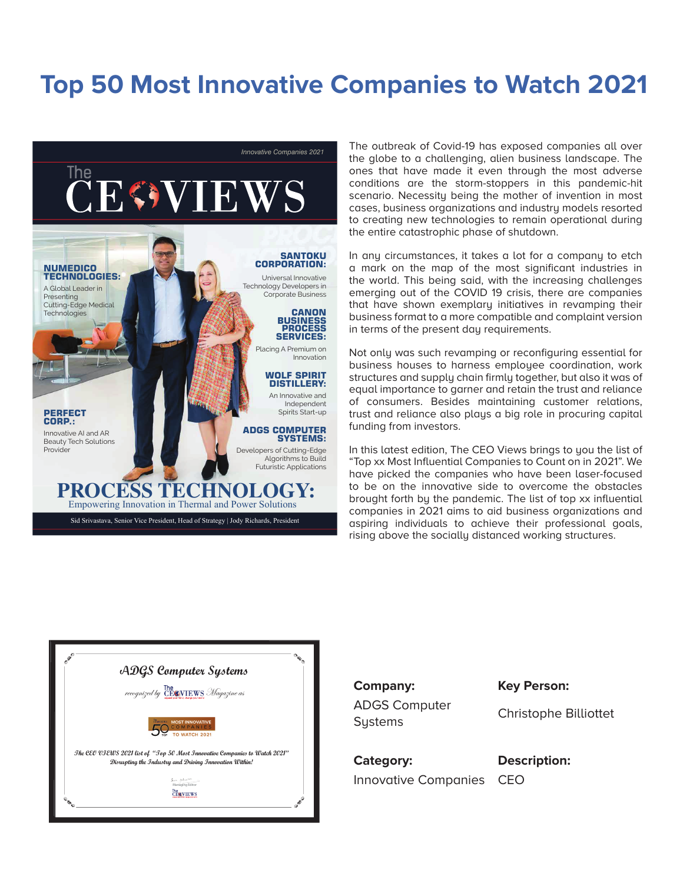## **Top 50 Most Innovative Companies to Watch 2021**



The outbreak of Covid-19 has exposed companies all over the globe to a challenging, alien business landscape. The ones that have made it even through the most adverse conditions are the storm-stoppers in this pandemic-hit scenario. Necessity being the mother of invention in most cases, business organizations and industry models resorted to creating new technologies to remain operational during the entire catastrophic phase of shutdown.

In any circumstances, it takes a lot for a company to etch a mark on the map of the most significant industries in the world. This being said, with the increasing challenges emerging out of the COVID 19 crisis, there are companies that have shown exemplary initiatives in revamping their business format to a more compatible and complaint version in terms of the present day requirements.

Not only was such revamping or reconfiguring essential for business houses to harness emplouee coordination, work structures and supply chain firmly together, but also it was of equal importance to garner and retain the trust and reliance of consumers. Besides maintaining customer relations, trust and reliance also plays a big role in procuring capital funding from investors.

In this latest edition, The CEO Views brings to you the list of "Top xx Most Influential Companies to Count on in 2021". We have picked the companies who have been laser-focused to be on the innovative side to overcome the obstacles brought forth by the pandemic. The list of top xx influential companies in 2021 aims to aid business organizations and aspiring individuals to achieve their professional goals, rising above the socially distanced working structures.



**Company: Key Person:** ADGS Computer ABOS Computer<br>
Christophe Billiottet

**Category: Description:** Innovative Companies CEO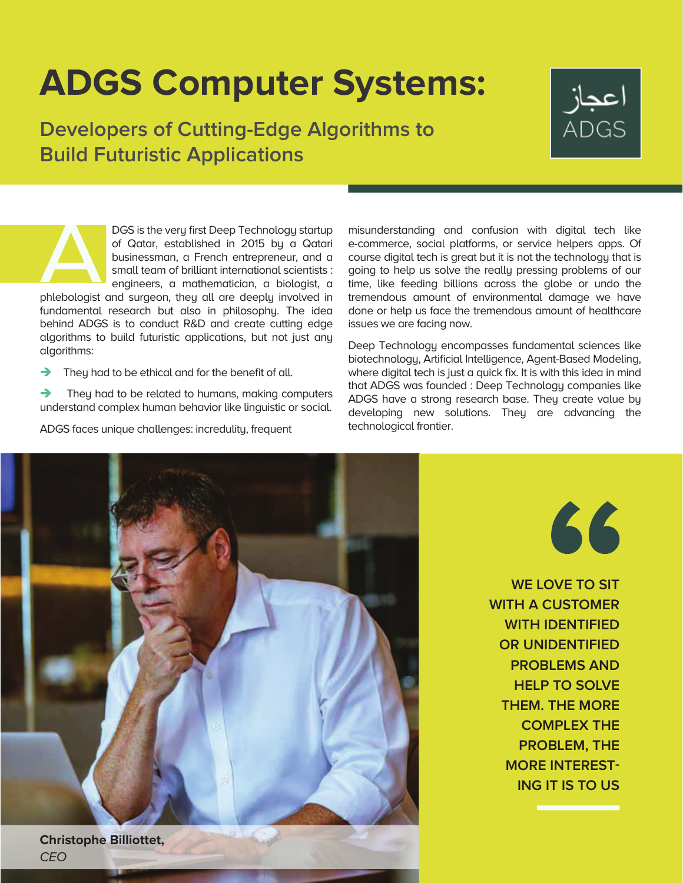## **ADGS Computer Systems:**

**Developers of Cutting-Edge Algorithms to Build Futuristic Applications**



DGS is the very first Deep Technology startup of Qatar, established in 2015 by a Qatari businessman, a French entrepreneur, and a small team of brilliant international scientists : engineers, a mathematician, a biologist, a

phlebologist and surgeon, they all are deeply involved in fundamental research but also in philosophy. The idea behind ADGS is to conduct R&D and create cutting edge algorithms to build futuristic applications, but not just any algorithms:

 $\rightarrow$  They had to be ethical and for the benefit of all.

 They had to be related to humans, making computers understand complex human behavior like linguistic or social.

ADGS faces unique challenges: incredulity, frequent

misunderstanding and confusion with digital tech like e-commerce, social platforms, or service helpers apps. Of course digital tech is great but it is not the technology that is going to help us solve the really pressing problems of our time, like feeding billions across the globe or undo the tremendous amount of environmental damage we have done or help us face the tremendous amount of healthcare issues we are facing now.

Deep Technology encompasses fundamental sciences like biotechnology, Artificial Intelligence, Agent-Based Modeling, where digital tech is just a quick fix. It is with this idea in mind that ADGS was founded : Deep Technology companies like ADGS have a strong research base. They create value by developing new solutions. They are advancing the technological frontier.



66

**WE LOVE TO SIT WITH A CUSTOMER WITH IDENTIFIED OR UNIDENTIFIED PROBLEMS AND HELP TO SOLVE THEM. THE MORE COMPLEX THE PROBLEM, THE MORE INTEREST-ING IT IS TO US**